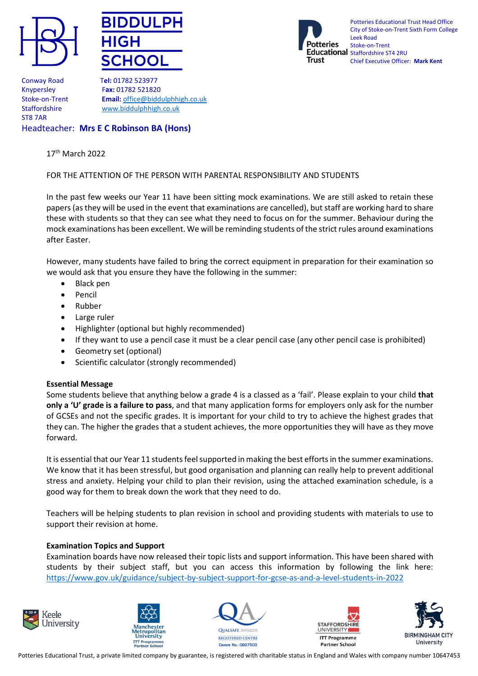





Potteries Educational Trust Head Office City of Stoke-on-Trent Sixth Form College Leek Road Stoke-on-Trent Educational staffordshire ST4 2RU Chief Executive Officer: **Mark Kent**

Conway Road T**el:** 01782 523977 ST8 7AR

Knypersley F**ax:** 01782 521820 Stoke-on-Trent **Email:** [office@biddulphhigh.co.uk](mailto:office@biddulphhigh.co.uk) Staffordshire [www.biddulphhigh.co.uk](http://www.biddulphhigh.co.uk/) 

# Headteacher: **Mrs E C Robinson BA (Hons)**

#### 17<sup>th</sup> March 2022

## FOR THE ATTENTION OF THE PERSON WITH PARENTAL RESPONSIBILITY AND STUDENTS

In the past few weeks our Year 11 have been sitting mock examinations. We are still asked to retain these papers (as they will be used in the event that examinations are cancelled), but staff are working hard to share these with students so that they can see what they need to focus on for the summer. Behaviour during the mock examinations has been excellent. We will be reminding students of the strict rules around examinations after Easter.

However, many students have failed to bring the correct equipment in preparation for their examination so we would ask that you ensure they have the following in the summer:

- Black pen
- Pencil
- Rubber
- Large ruler
- Highlighter (optional but highly recommended)
- If they want to use a pencil case it must be a clear pencil case (any other pencil case is prohibited)
- Geometry set (optional)
- Scientific calculator (strongly recommended)

## **Essential Message**

Some students believe that anything below a grade 4 is a classed as a 'fail'. Please explain to your child **that only a 'U' grade is a failure to pass**, and that many application forms for employers only ask for the number of GCSEs and not the specific grades. It is important for your child to try to achieve the highest grades that they can. The higher the grades that a student achieves, the more opportunities they will have as they move forward.

It is essential that our Year 11 students feel supported in making the best efforts in the summer examinations. We know that it has been stressful, but good organisation and planning can really help to prevent additional stress and anxiety. Helping your child to plan their revision, using the attached examination schedule, is a good way for them to break down the work that they need to do.

Teachers will be helping students to plan revision in school and providing students with materials to use to support their revision at home.

## **Examination Topics and Support**

Examination boards have now released their topic lists and support information. This have been shared with students by their subject staff, but you can access this information by following the link here: <https://www.gov.uk/guidance/subject-by-subject-support-for-gcse-as-and-a-level-students-in-2022>









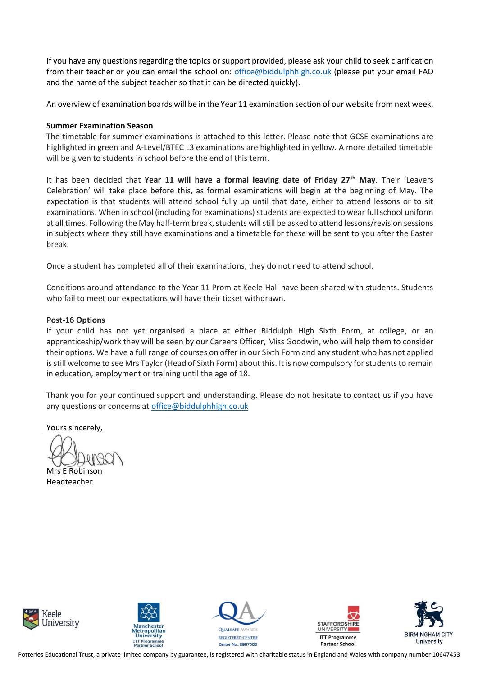If you have any questions regarding the topics or support provided, please ask your child to seek clarification from their teacher or you can email the school on: [office@biddulphhigh.co.uk](mailto:office@biddulphhigh.co.uk) (please put your email FAO and the name of the subject teacher so that it can be directed quickly).

An overview of examination boards will be in the Year 11 examination section of our website from next week.

#### **Summer Examination Season**

The timetable for summer examinations is attached to this letter. Please note that GCSE examinations are highlighted in green and A-Level/BTEC L3 examinations are highlighted in yellow. A more detailed timetable will be given to students in school before the end of this term.

It has been decided that **Year 11 will have a formal leaving date of Friday 27th May**. Their 'Leavers Celebration' will take place before this, as formal examinations will begin at the beginning of May. The expectation is that students will attend school fully up until that date, either to attend lessons or to sit examinations. When in school (including for examinations) students are expected to wear full school uniform at all times. Following the May half-term break, students will still be asked to attend lessons/revision sessions in subjects where they still have examinations and a timetable for these will be sent to you after the Easter break.

Once a student has completed all of their examinations, they do not need to attend school.

Conditions around attendance to the Year 11 Prom at Keele Hall have been shared with students. Students who fail to meet our expectations will have their ticket withdrawn.

#### **Post-16 Options**

If your child has not yet organised a place at either Biddulph High Sixth Form, at college, or an apprenticeship/work they will be seen by our Careers Officer, Miss Goodwin, who will help them to consider their options. We have a full range of courses on offer in our Sixth Form and any student who has not applied is still welcome to see Mrs Taylor (Head of Sixth Form) about this. It is now compulsory for students to remain in education, employment or training until the age of 18.

Thank you for your continued support and understanding. Please do not hesitate to contact us if you have any questions or concerns a[t office@biddulphhigh.co.uk](mailto:office@biddulphhigh.co.uk)

Yours sincerely,

Mrs E Robinson Headteacher











Potteries Educational Trust, a private limited company by guarantee, is registered with charitable status in England and Wales with company number 10647453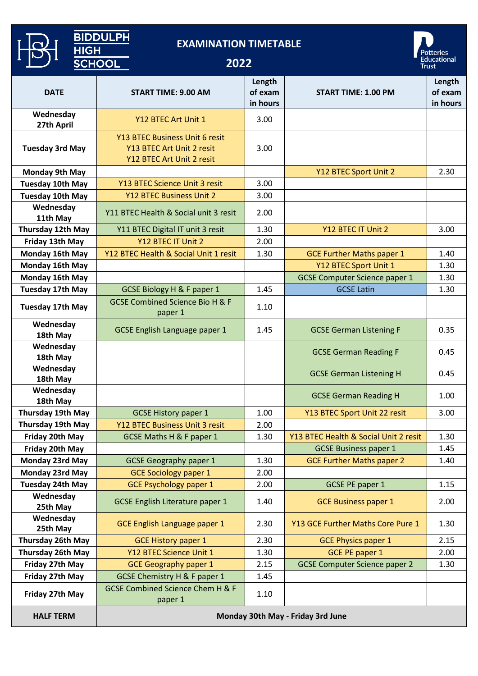| <b>BIDDULPH</b><br><b>EXAMINATION TIMETABLE</b><br><b>HIGH</b> |                                                                                          |                               |                                       |                                   |  |
|----------------------------------------------------------------|------------------------------------------------------------------------------------------|-------------------------------|---------------------------------------|-----------------------------------|--|
|                                                                | <b>SCHOOL</b><br>2022                                                                    |                               |                                       | Potteries<br>Educational<br>Trust |  |
| <b>DATE</b>                                                    | <b>START TIME: 9.00 AM</b>                                                               | Length<br>of exam<br>in hours | <b>START TIME: 1.00 PM</b>            | Length<br>of exam<br>in hours     |  |
| Wednesday<br>27th April                                        | Y12 BTEC Art Unit 1                                                                      | 3.00                          |                                       |                                   |  |
| <b>Tuesday 3rd May</b>                                         | Y13 BTEC Business Unit 6 resit<br>Y13 BTEC Art Unit 2 resit<br>Y12 BTEC Art Unit 2 resit | 3.00                          |                                       |                                   |  |
| <b>Monday 9th May</b>                                          |                                                                                          |                               | Y12 BTEC Sport Unit 2                 | 2.30                              |  |
| <b>Tuesday 10th May</b>                                        | Y13 BTEC Science Unit 3 resit                                                            | 3.00                          |                                       |                                   |  |
| <b>Tuesday 10th May</b>                                        | <b>Y12 BTEC Business Unit 2</b>                                                          | 3.00                          |                                       |                                   |  |
| Wednesday<br>11th May                                          | Y11 BTEC Health & Social unit 3 resit                                                    | 2.00                          |                                       |                                   |  |
| Thursday 12th May                                              | Y11 BTEC Digital IT unit 3 resit                                                         | 1.30                          | Y12 BTEC IT Unit 2                    | 3.00                              |  |
| Friday 13th May                                                | Y12 BTEC IT Unit 2                                                                       | 2.00                          |                                       |                                   |  |
| Monday 16th May                                                | Y12 BTEC Health & Social Unit 1 resit                                                    | 1.30                          | <b>GCE Further Maths paper 1</b>      | 1.40                              |  |
| Monday 16th May                                                |                                                                                          |                               | Y12 BTEC Sport Unit 1                 | 1.30                              |  |
| Monday 16th May                                                |                                                                                          |                               | <b>GCSE Computer Science paper 1</b>  | 1.30                              |  |
| <b>Tuesday 17th May</b>                                        | <b>GCSE Biology H &amp; F paper 1</b>                                                    | 1.45                          | <b>GCSE Latin</b>                     | 1.30                              |  |
| Tuesday 17th May                                               | <b>GCSE Combined Science Bio H &amp; F</b><br>paper 1                                    | 1.10                          |                                       |                                   |  |
| Wednesday<br>18th May                                          | <b>GCSE English Language paper 1</b>                                                     | 1.45                          | <b>GCSE German Listening F</b>        | 0.35                              |  |
| Wednesday<br>18th May                                          |                                                                                          |                               | <b>GCSE German Reading F</b>          | 0.45                              |  |
| Wednesday<br>18th May                                          |                                                                                          |                               | <b>GCSE German Listening H</b>        | 0.45                              |  |
| Wednesday<br>18th May                                          |                                                                                          |                               | <b>GCSE German Reading H</b>          | 1.00                              |  |
| Thursday 19th May                                              | <b>GCSE History paper 1</b>                                                              | 1.00                          | Y13 BTEC Sport Unit 22 resit          | 3.00                              |  |
| Thursday 19th May                                              | Y12 BTEC Business Unit 3 resit                                                           | 2.00                          |                                       |                                   |  |
| Friday 20th May                                                | <b>GCSE Maths H &amp; F paper 1</b>                                                      | 1.30                          | Y13 BTEC Health & Social Unit 2 resit | 1.30                              |  |
| Friday 20th May                                                |                                                                                          |                               | <b>GCSE Business paper 1</b>          | 1.45                              |  |
| Monday 23rd May                                                | <b>GCSE Geography paper 1</b>                                                            | 1.30                          | <b>GCE Further Maths paper 2</b>      | 1.40                              |  |
| Monday 23rd May                                                | <b>GCE Sociology paper 1</b>                                                             | 2.00                          |                                       |                                   |  |
| <b>Tuesday 24th May</b>                                        | <b>GCE Psychology paper 1</b>                                                            | 2.00                          | <b>GCSE PE paper 1</b>                | 1.15                              |  |
| Wednesday<br>25th May                                          | <b>GCSE English Literature paper 1</b>                                                   | 1.40                          | <b>GCE Business paper 1</b>           | 2.00                              |  |
| Wednesday<br>25th May                                          | GCE English Language paper 1                                                             | 2.30                          | Y13 GCE Further Maths Core Pure 1     | 1.30                              |  |
| Thursday 26th May                                              | <b>GCE History paper 1</b>                                                               | 2.30                          | <b>GCE Physics paper 1</b>            | 2.15                              |  |
| <b>Thursday 26th May</b>                                       | Y12 BTEC Science Unit 1                                                                  | 1.30                          | <b>GCE PE paper 1</b>                 | 2.00                              |  |
| Friday 27th May                                                | <b>GCE Geography paper 1</b>                                                             | 2.15                          | <b>GCSE Computer Science paper 2</b>  | 1.30                              |  |
| Friday 27th May                                                | <b>GCSE Chemistry H &amp; F paper 1</b>                                                  | 1.45                          |                                       |                                   |  |
| Friday 27th May                                                | <b>GCSE Combined Science Chem H &amp; F</b><br>paper 1                                   | 1.10                          |                                       |                                   |  |
| <b>HALF TERM</b>                                               | Monday 30th May - Friday 3rd June                                                        |                               |                                       |                                   |  |